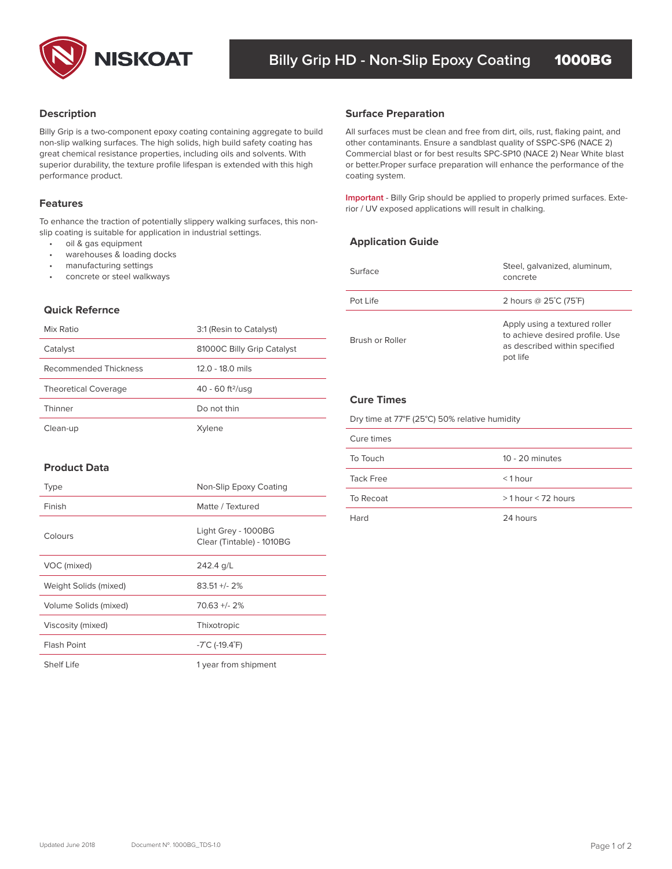

# **Description**

Billy Grip is a two-component epoxy coating containing aggregate to build non-slip walking surfaces. The high solids, high build safety coating has great chemical resistance properties, including oils and solvents. With superior durability, the texture profile lifespan is extended with this high performance product.

To enhance the traction of potentially slippery walking surfaces, this nonslip coating is suitable for application in industrial settings.

- oil & gas equipment
- warehouses & loading docks
- manufacturing settings
- concrete or steel walkways

# **Quick Refernce**

| Mix Ratio                   | 3:1 (Resin to Catalyst)        |
|-----------------------------|--------------------------------|
| Catalyst                    | 81000C Billy Grip Catalyst     |
| Recommended Thickness       | 12.0 - 18.0 mils               |
| <b>Theoretical Coverage</b> | $40 - 60$ ft <sup>2</sup> /usq |
| Thinner                     | Do not thin                    |
| Clean-up                    | Xvlene                         |

## **Surface Preparation**

All surfaces must be clean and free from dirt, oils, rust, flaking paint, and other contaminants. Ensure a sandblast quality of SSPC-SP6 (NACE 2) Commercial blast or for best results SPC-SP10 (NACE 2) Near White blast or better.Proper surface preparation will enhance the performance of the coating system.

**Important** - Billy Grip should be applied to properly primed surfaces. Exte-**Features**<br>Features **Features Features Features Features Features Features Features Features Features Features Features Features Features Features Features Features Features Features Fea** 

# **Application Guide**

| Surface         | Steel, galvanized, aluminum,<br>concrete                                                                      |
|-----------------|---------------------------------------------------------------------------------------------------------------|
| Pot Life        | 2 hours @ 25°C (75°F)                                                                                         |
| Brush or Roller | Apply using a textured roller<br>to achieve desired profile. Use<br>as described within specified<br>pot life |

# **Cure Times**

Dry time at 77°F (25°C) 50% relative humidity

| Cure times |                      |
|------------|----------------------|
| To Touch   | $10 - 20$ minutes    |
| Tack Free  | $<$ 1 hour           |
| To Recoat  | $>1$ hour < 72 hours |
| Hard       | 24 hours             |

# **Product Data**

| <b>Type</b>           | Non-Slip Epoxy Coating                           |
|-----------------------|--------------------------------------------------|
| Finish                | Matte / Textured                                 |
| Colours               | Light Grey - 1000BG<br>Clear (Tintable) - 1010BG |
| VOC (mixed)           | 242.4 g/L                                        |
| Weight Solids (mixed) | $83.51 +/- 2%$                                   |
| Volume Solids (mixed) | $70.63 + 2%$                                     |
| Viscosity (mixed)     | Thixotropic                                      |
| <b>Flash Point</b>    | $-7^{\circ}$ C (-19.4 $^{\circ}$ F)              |
| Shelf Life            | 1 year from shipment                             |